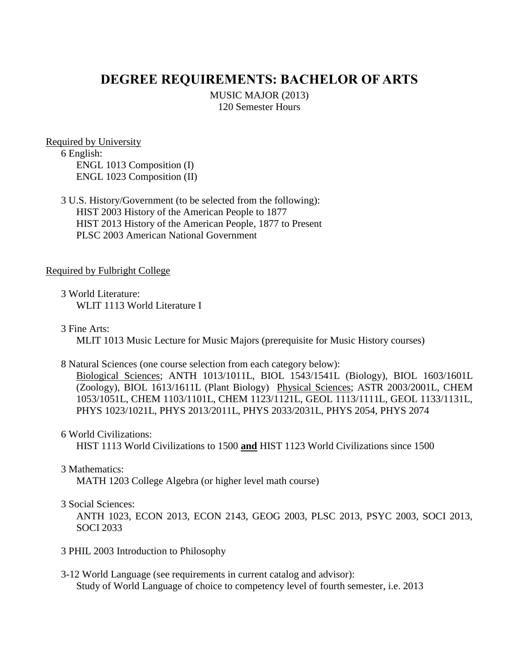# **DEGREE REQUIREMENTS: BACHELOR OF ARTS**

MUSIC MAJOR (2013) 120 Semester Hours

Required by University 6 English: ENGL 1013 Composition (I) ENGL 1023 Composition (II)

3 U.S. History/Government (to be selected from the following): HIST 2003 History of the American People to 1877 HIST 2013 History of the American People, 1877 to Present PLSC 2003 American National Government

#### Required by Fulbright College

3 World Literature: WLIT 1113 World Literature I

3 Fine Arts:

MLIT 1013 Music Lecture for Music Majors (prerequisite for Music History courses)

#### 8 Natural Sciences (one course selection from each category below):

Biological Sciences; ANTH 1013/1011L, BIOL 1543/1541L (Biology), BIOL 1603/1601L (Zoology), BIOL 1613/1611L (Plant Biology) Physical Sciences; ASTR 2003/2001L, CHEM 1053/1051L, CHEM 1103/1101L, CHEM 1123/1121L, GEOL 1113/1111L, GEOL 1133/1131L, PHYS 1023/1021L, PHYS 2013/2011L, PHYS 2033/2031L, PHYS 2054, PHYS 2074

6 World Civilizations:

HIST 1113 World Civilizations to 1500 **and** HIST 1123 World Civilizations since 1500

#### 3 Mathematics:

MATH 1203 College Algebra (or higher level math course)

### 3 Social Sciences:

ANTH 1023, ECON 2013, ECON 2143, GEOG 2003, PLSC 2013, PSYC 2003, SOCI 2013, SOCI 2033

- 3 PHIL 2003 Introduction to Philosophy
- 3-12 World Language (see requirements in current catalog and advisor): Study of World Language of choice to competency level of fourth semester, i.e. 2013